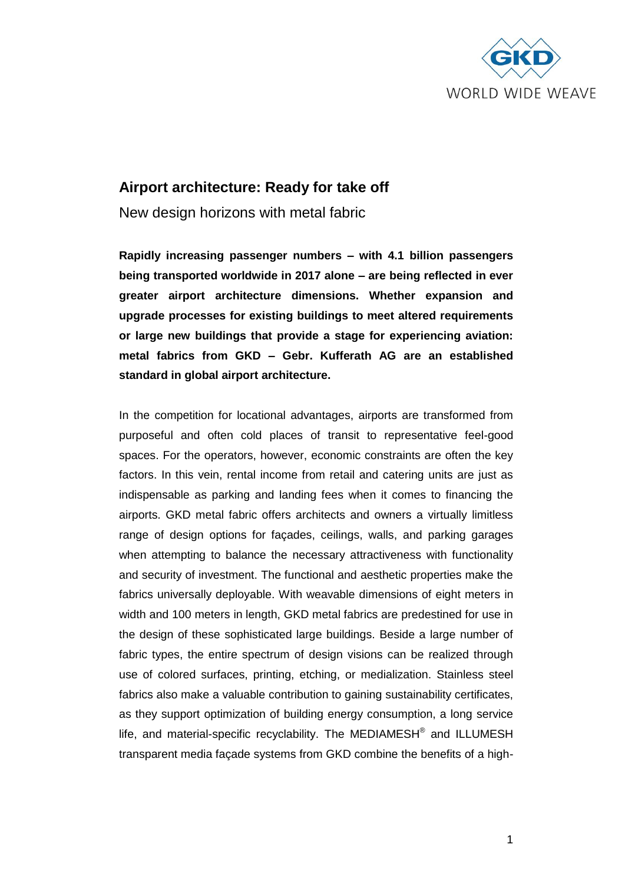

# **Airport architecture: Ready for take off**

New design horizons with metal fabric

**Rapidly increasing passenger numbers – with 4.1 billion passengers being transported worldwide in 2017 alone – are being reflected in ever greater airport architecture dimensions. Whether expansion and upgrade processes for existing buildings to meet altered requirements or large new buildings that provide a stage for experiencing aviation: metal fabrics from GKD – Gebr. Kufferath AG are an established standard in global airport architecture.** 

In the competition for locational advantages, airports are transformed from purposeful and often cold places of transit to representative feel-good spaces. For the operators, however, economic constraints are often the key factors. In this vein, rental income from retail and catering units are just as indispensable as parking and landing fees when it comes to financing the airports. GKD metal fabric offers architects and owners a virtually limitless range of design options for façades, ceilings, walls, and parking garages when attempting to balance the necessary attractiveness with functionality and security of investment. The functional and aesthetic properties make the fabrics universally deployable. With weavable dimensions of eight meters in width and 100 meters in length, GKD metal fabrics are predestined for use in the design of these sophisticated large buildings. Beside a large number of fabric types, the entire spectrum of design visions can be realized through use of colored surfaces, printing, etching, or medialization. Stainless steel fabrics also make a valuable contribution to gaining sustainability certificates, as they support optimization of building energy consumption, a long service life, and material-specific recyclability. The MEDIAMESH® and ILLUMESH transparent media façade systems from GKD combine the benefits of a high-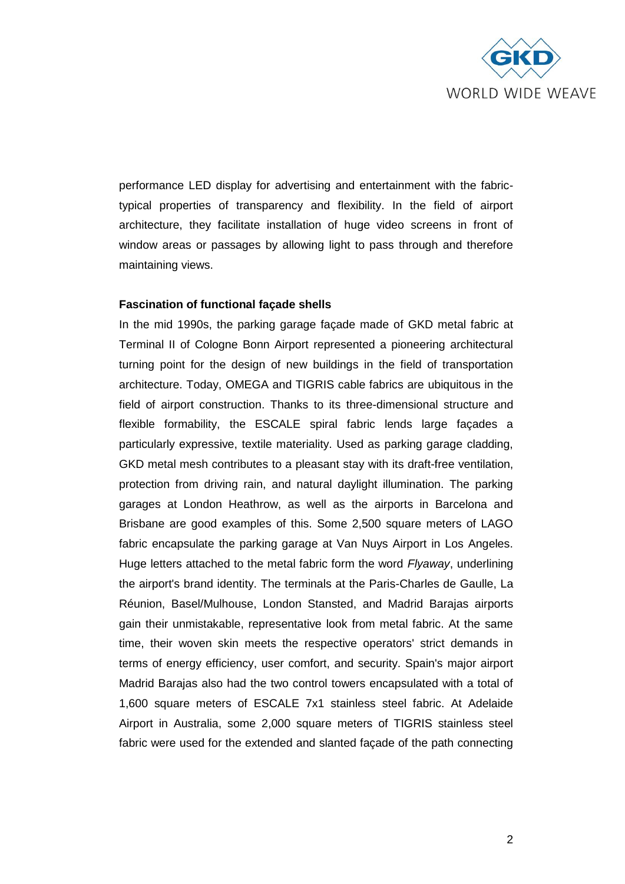

performance LED display for advertising and entertainment with the fabrictypical properties of transparency and flexibility. In the field of airport architecture, they facilitate installation of huge video screens in front of window areas or passages by allowing light to pass through and therefore maintaining views.

## **Fascination of functional façade shells**

In the mid 1990s, the parking garage façade made of GKD metal fabric at Terminal II of Cologne Bonn Airport represented a pioneering architectural turning point for the design of new buildings in the field of transportation architecture. Today, OMEGA and TIGRIS cable fabrics are ubiquitous in the field of airport construction. Thanks to its three-dimensional structure and flexible formability, the ESCALE spiral fabric lends large façades a particularly expressive, textile materiality. Used as parking garage cladding, GKD metal mesh contributes to a pleasant stay with its draft-free ventilation, protection from driving rain, and natural daylight illumination. The parking garages at London Heathrow, as well as the airports in Barcelona and Brisbane are good examples of this. Some 2,500 square meters of LAGO fabric encapsulate the parking garage at Van Nuys Airport in Los Angeles. Huge letters attached to the metal fabric form the word *Flyaway*, underlining the airport's brand identity. The terminals at the Paris-Charles de Gaulle, La Réunion, Basel/Mulhouse, London Stansted, and Madrid Barajas airports gain their unmistakable, representative look from metal fabric. At the same time, their woven skin meets the respective operators' strict demands in terms of energy efficiency, user comfort, and security. Spain's major airport Madrid Barajas also had the two control towers encapsulated with a total of 1,600 square meters of ESCALE 7x1 stainless steel fabric. At Adelaide Airport in Australia, some 2,000 square meters of TIGRIS stainless steel fabric were used for the extended and slanted façade of the path connecting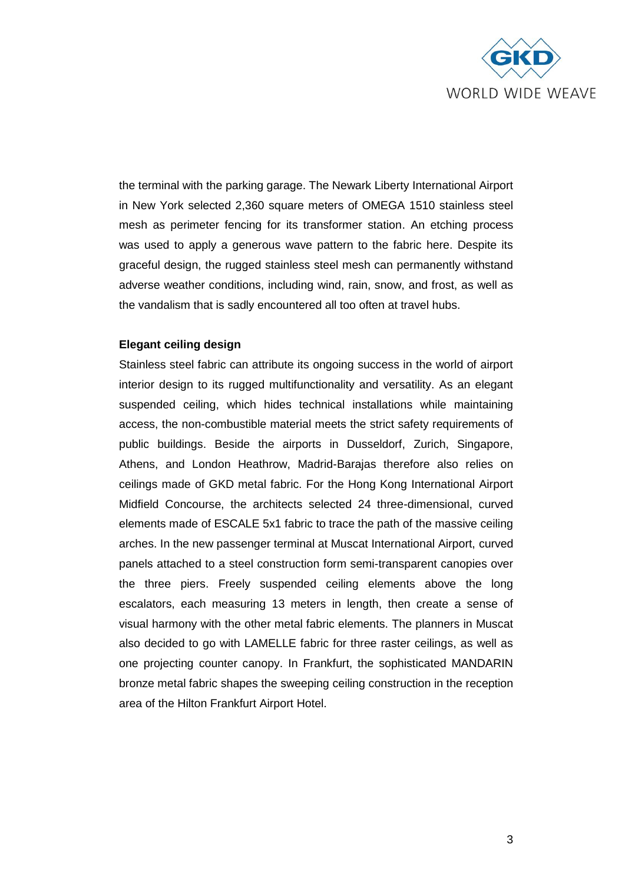

the terminal with the parking garage. The Newark Liberty International Airport in New York selected 2,360 square meters of OMEGA 1510 stainless steel mesh as perimeter fencing for its transformer station. An etching process was used to apply a generous wave pattern to the fabric here. Despite its graceful design, the rugged stainless steel mesh can permanently withstand adverse weather conditions, including wind, rain, snow, and frost, as well as the vandalism that is sadly encountered all too often at travel hubs.

## **Elegant ceiling design**

Stainless steel fabric can attribute its ongoing success in the world of airport interior design to its rugged multifunctionality and versatility. As an elegant suspended ceiling, which hides technical installations while maintaining access, the non-combustible material meets the strict safety requirements of public buildings. Beside the airports in Dusseldorf, Zurich, Singapore, Athens, and London Heathrow, Madrid-Barajas therefore also relies on ceilings made of GKD metal fabric. For the Hong Kong International Airport Midfield Concourse, the architects selected 24 three-dimensional, curved elements made of ESCALE 5x1 fabric to trace the path of the massive ceiling arches. In the new passenger terminal at Muscat International Airport, curved panels attached to a steel construction form semi-transparent canopies over the three piers. Freely suspended ceiling elements above the long escalators, each measuring 13 meters in length, then create a sense of visual harmony with the other metal fabric elements. The planners in Muscat also decided to go with LAMELLE fabric for three raster ceilings, as well as one projecting counter canopy. In Frankfurt, the sophisticated MANDARIN bronze metal fabric shapes the sweeping ceiling construction in the reception area of the Hilton Frankfurt Airport Hotel.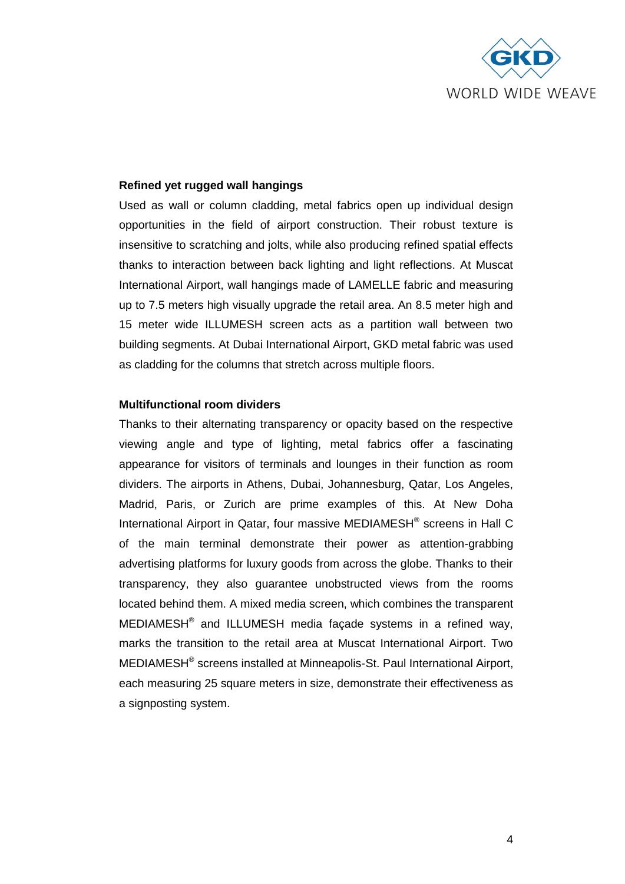

## **Refined yet rugged wall hangings**

Used as wall or column cladding, metal fabrics open up individual design opportunities in the field of airport construction. Their robust texture is insensitive to scratching and jolts, while also producing refined spatial effects thanks to interaction between back lighting and light reflections. At Muscat International Airport, wall hangings made of LAMELLE fabric and measuring up to 7.5 meters high visually upgrade the retail area. An 8.5 meter high and 15 meter wide ILLUMESH screen acts as a partition wall between two building segments. At Dubai International Airport, GKD metal fabric was used as cladding for the columns that stretch across multiple floors.

## **Multifunctional room dividers**

Thanks to their alternating transparency or opacity based on the respective viewing angle and type of lighting, metal fabrics offer a fascinating appearance for visitors of terminals and lounges in their function as room dividers. The airports in Athens, Dubai, Johannesburg, Qatar, Los Angeles, Madrid, Paris, or Zurich are prime examples of this. At New Doha International Airport in Qatar, four massive MEDIAMESH® screens in Hall C of the main terminal demonstrate their power as attention-grabbing advertising platforms for luxury goods from across the globe. Thanks to their transparency, they also guarantee unobstructed views from the rooms located behind them. A mixed media screen, which combines the transparent MEDIAMESH $^{\circ}$  and ILLUMESH media façade systems in a refined way, marks the transition to the retail area at Muscat International Airport. Two MEDIAMESH<sup>®</sup> screens installed at Minneapolis-St. Paul International Airport, each measuring 25 square meters in size, demonstrate their effectiveness as a signposting system.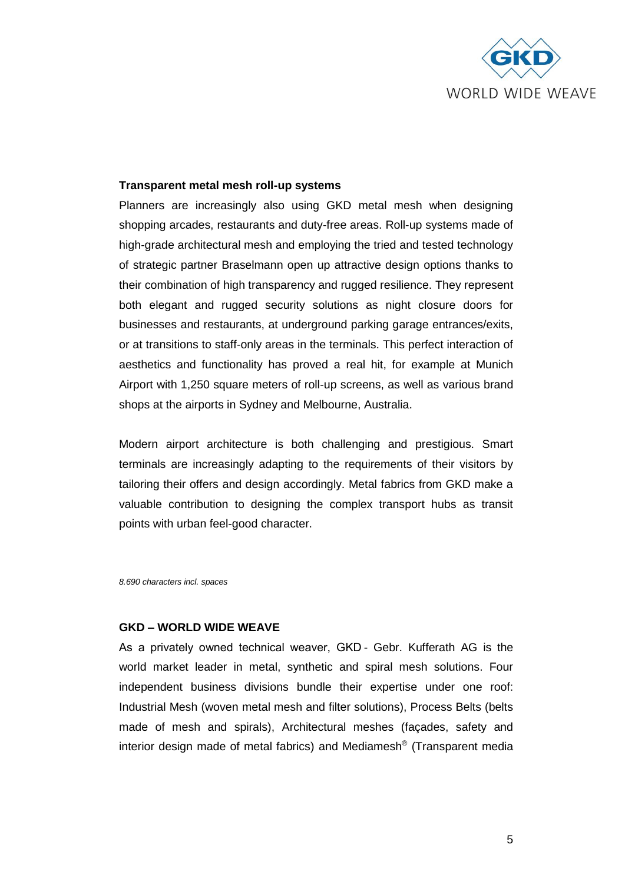

## **Transparent metal mesh roll-up systems**

Planners are increasingly also using GKD metal mesh when designing shopping arcades, restaurants and duty-free areas. Roll-up systems made of high-grade architectural mesh and employing the tried and tested technology of strategic partner Braselmann open up attractive design options thanks to their combination of high transparency and rugged resilience. They represent both elegant and rugged security solutions as night closure doors for businesses and restaurants, at underground parking garage entrances/exits, or at transitions to staff-only areas in the terminals. This perfect interaction of aesthetics and functionality has proved a real hit, for example at Munich Airport with 1,250 square meters of roll-up screens, as well as various brand shops at the airports in Sydney and Melbourne, Australia.

Modern airport architecture is both challenging and prestigious. Smart terminals are increasingly adapting to the requirements of their visitors by tailoring their offers and design accordingly. Metal fabrics from GKD make a valuable contribution to designing the complex transport hubs as transit points with urban feel-good character.

*8.690 characters incl. spaces*

## **GKD – WORLD WIDE WEAVE**

As a privately owned technical weaver, GKD - Gebr. Kufferath AG is the world market leader in metal, synthetic and spiral mesh solutions. Four independent business divisions bundle their expertise under one roof: Industrial Mesh (woven metal mesh and filter solutions), Process Belts (belts made of mesh and spirals), Architectural meshes (façades, safety and interior design made of metal fabrics) and Mediamesh® (Transparent media